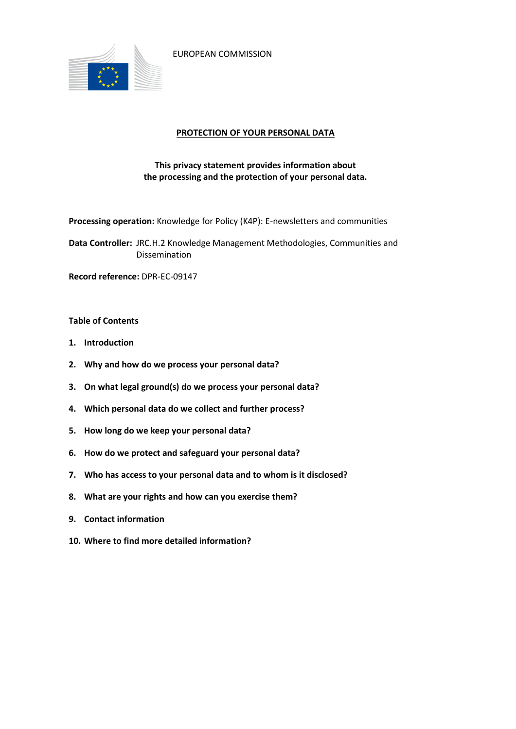

EUROPEAN COMMISSION

## **PROTECTION OF YOUR PERSONAL DATA**

# **This privacy statement provides information about the processing and the protection of your personal data.**

**Processing operation:** Knowledge for Policy (K4P): E-newsletters and communities

**Data Controller:** JRC.H.2 Knowledge Management Methodologies, Communities and Dissemination

**Record reference:** DPR-EC-09147

#### **Table of Contents**

- **1. Introduction**
- **2. Why and how do we process your personal data?**
- **3. On what legal ground(s) do we process your personal data?**
- **4. Which personal data do we collect and further process?**
- **5. How long do we keep your personal data?**
- **6. How do we protect and safeguard your personal data?**
- **7. Who has access to your personal data and to whom is it disclosed?**
- **8. What are your rights and how can you exercise them?**
- **9. Contact information**
- **10. Where to find more detailed information?**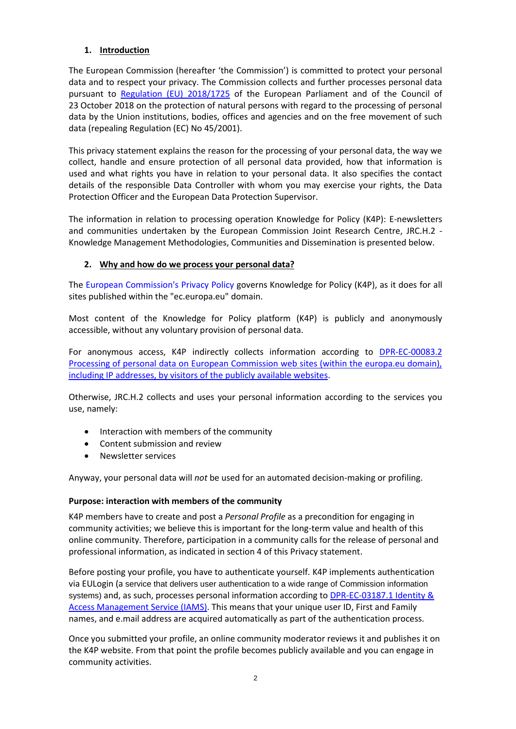# **1. Introduction**

The European Commission (hereafter 'the Commission') is committed to protect your personal data and to respect your privacy. The Commission collects and further processes personal data pursuant to [Regulation \(EU\) 2018/1725](https://eur-lex.europa.eu/legal-content/EN/TXT/?uri=uriserv:OJ.L_.2018.295.01.0039.01.ENG&toc=OJ:L:2018:295:TOC) of the European Parliament and of the Council of 23 October 2018 on the protection of natural persons with regard to the processing of personal data by the Union institutions, bodies, offices and agencies and on the free movement of such data (repealing Regulation (EC) No 45/2001).

This privacy statement explains the reason for the processing of your personal data, the way we collect, handle and ensure protection of all personal data provided, how that information is used and what rights you have in relation to your personal data. It also specifies the contact details of the responsible Data Controller with whom you may exercise your rights, the Data Protection Officer and the European Data Protection Supervisor.

The information in relation to processing operation Knowledge for Policy (K4P): E-newsletters and communities undertaken by the European Commission Joint Research Centre, JRC.H.2 -Knowledge Management Methodologies, Communities and Dissemination is presented below.

# **2. Why and how do we process your personal data?**

The [European Commission's Privacy Policy](https://ec.europa.eu/info/privacy-policy_en) governs Knowledge for Policy (K4P), as it does for all sites published within the "ec.europa.eu" domain.

Most content of the Knowledge for Policy platform (K4P) is publicly and anonymously accessible, without any voluntary provision of personal data.

For anonymous access, K4P indirectly collects information according to [DPR-EC-00083.2](https://ec.europa.eu/dpo-register/detail/DPR-EC-00083)  [Processing of personal data on European Commission web sites \(within the europa.eu domain\),](https://ec.europa.eu/dpo-register/detail/DPR-EC-00083)  [including IP addresses, by visitors of the publicly available websites.](https://ec.europa.eu/dpo-register/detail/DPR-EC-00083)

Otherwise, JRC.H.2 collects and uses your personal information according to the services you use, namely:

- Interaction with members of the community
- Content submission and review
- Newsletter services

Anyway, your personal data will *not* be used for an automated decision-making or profiling.

#### **Purpose: interaction with members of the community**

K4P members have to create and post a *Personal Profile* as a precondition for engaging in community activities; we believe this is important for the long-term value and health of this online community. Therefore, participation in a community calls for the release of personal and professional information, as indicated in section 4 of this Privacy statement.

Before posting your profile, you have to authenticate yourself. K4P implements authentication via EULogin (a service that delivers user authentication to a wide range of Commission information systems) and, as such, processes personal information according to DPR-EC-03187.1 Identity & [Access Management Service \(IAMS\).](https://ec.europa.eu/dpo-register/detail/DPR-EC-03187) This means that your unique user ID, First and Family names, and e.mail address are acquired automatically as part of the authentication process.

Once you submitted your profile, an online community moderator reviews it and publishes it on the K4P website. From that point the profile becomes publicly available and you can engage in community activities.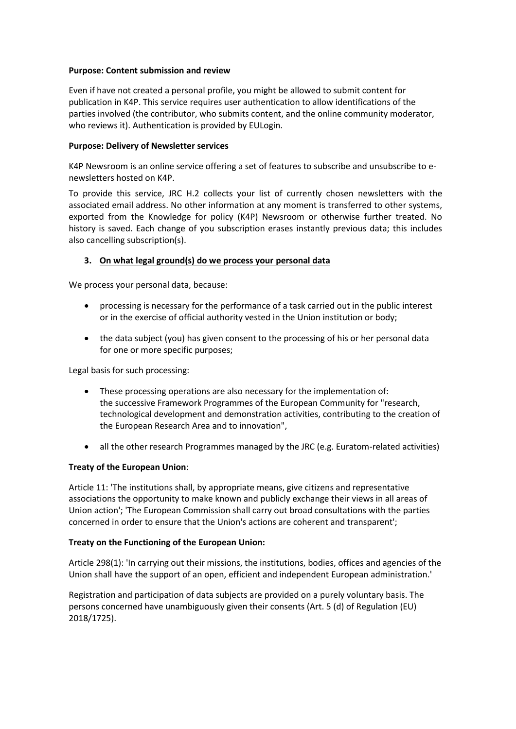### **Purpose: Content submission and review**

Even if have not created a personal profile, you might be allowed to submit content for publication in K4P. This service requires user authentication to allow identifications of the parties involved (the contributor, who submits content, and the online community moderator, who reviews it). Authentication is provided by EULogin.

### **Purpose: Delivery of Newsletter services**

K4P Newsroom is an online service offering a set of features to subscribe and unsubscribe to enewsletters hosted on K4P.

To provide this service, JRC H.2 collects your list of currently chosen newsletters with the associated email address. No other information at any moment is transferred to other systems, exported from the Knowledge for policy (K4P) Newsroom or otherwise further treated. No history is saved. Each change of you subscription erases instantly previous data; this includes also cancelling subscription(s).

# **3. On what legal ground(s) do we process your personal data**

We process your personal data, because:

- processing is necessary for the performance of a task carried out in the public interest or in the exercise of official authority vested in the Union institution or body;
- the data subject (you) has given consent to the processing of his or her personal data for one or more specific purposes;

Legal basis for such processing:

- These processing operations are also necessary for the implementation of: the successive Framework Programmes of the European Community for "research, technological development and demonstration activities, contributing to the creation of the European Research Area and to innovation",
- all the other research Programmes managed by the JRC (e.g. Euratom-related activities)

#### **Treaty of the European Union**:

Article 11: 'The institutions shall, by appropriate means, give citizens and representative associations the opportunity to make known and publicly exchange their views in all areas of Union action'; 'The European Commission shall carry out broad consultations with the parties concerned in order to ensure that the Union's actions are coherent and transparent';

#### **Treaty on the Functioning of the European Union:**

Article 298(1): 'In carrying out their missions, the institutions, bodies, offices and agencies of the Union shall have the support of an open, efficient and independent European administration.'

Registration and participation of data subjects are provided on a purely voluntary basis. The persons concerned have unambiguously given their consents (Art. 5 (d) of Regulation (EU) 2018/1725).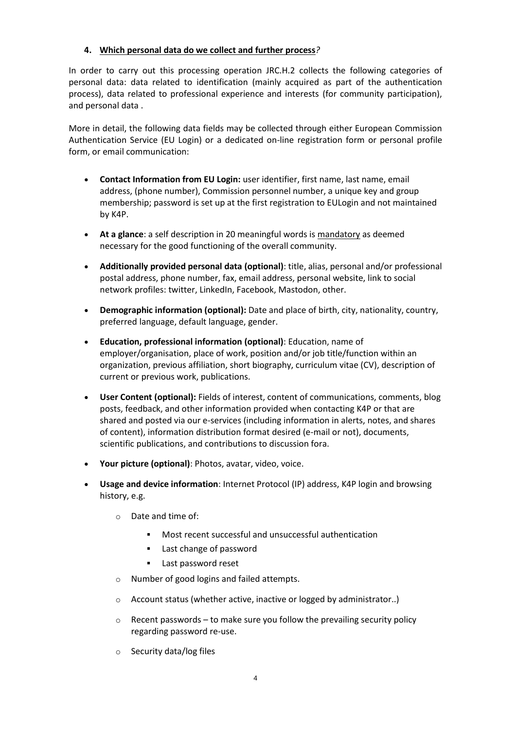## **4. Which personal data do we collect and further process***?*

In order to carry out this processing operation JRC.H.2 collects the following categories of personal data: data related to identification (mainly acquired as part of the authentication process), data related to professional experience and interests (for community participation), and personal data .

More in detail, the following data fields may be collected through either European Commission Authentication Service (EU Login) or a dedicated on-line registration form or personal profile form, or email communication:

- **Contact Information from EU Login:** user identifier, first name, last name, email address, (phone number), Commission personnel number, a unique key and group membership; password is set up at the first registration to EULogin and not maintained by K4P.
- **At a glance**: a self description in 20 meaningful words is mandatory as deemed necessary for the good functioning of the overall community.
- **Additionally provided personal data (optional)**: title, alias, personal and/or professional postal address, phone number, fax, email address, personal website, link to social network profiles: twitter, LinkedIn, Facebook, Mastodon, other.
- **Demographic information (optional):** Date and place of birth, city, nationality, country, preferred language, default language, gender.
- **Education, professional information (optional)**: Education, name of employer/organisation, place of work, position and/or job title/function within an organization, previous affiliation, short biography, curriculum vitae (CV), description of current or previous work, publications.
- **User Content (optional):** Fields of interest, content of communications, comments, blog posts, feedback, and other information provided when contacting K4P or that are shared and posted via our e-services (including information in alerts, notes, and shares of content), information distribution format desired (e-mail or not), documents, scientific publications, and contributions to discussion fora.
- **Your picture (optional)**: Photos, avatar, video, voice.
- **Usage and device information**: Internet Protocol (IP) address, K4P login and browsing history, e.g.
	- o Date and time of:
		- Most recent successful and unsuccessful authentication
		- **Last change of password**
		- **Last password reset**
	- o Number of good logins and failed attempts.
	- o Account status (whether active, inactive or logged by administrator..)
	- $\circ$  Recent passwords to make sure you follow the prevailing security policy regarding password re-use.
	- o Security data/log files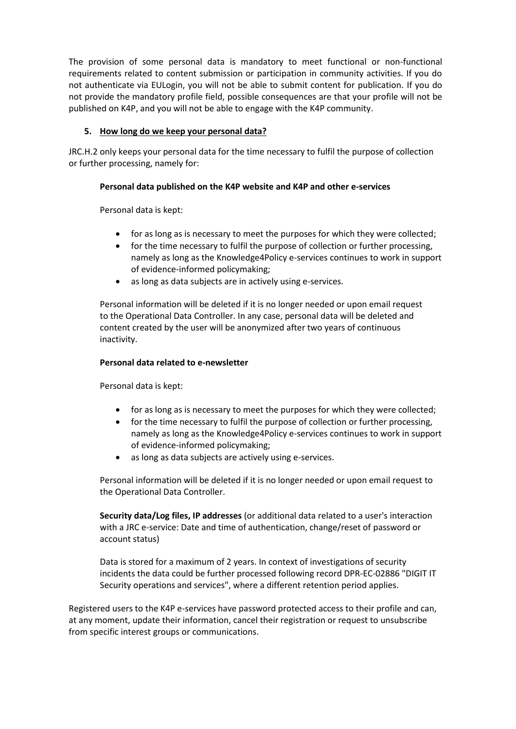The provision of some personal data is mandatory to meet functional or non-functional requirements related to content submission or participation in community activities. If you do not authenticate via EULogin, you will not be able to submit content for publication. If you do not provide the mandatory profile field, possible consequences are that your profile will not be published on K4P, and you will not be able to engage with the K4P community.

## **5. How long do we keep your personal data?**

JRC.H.2 only keeps your personal data for the time necessary to fulfil the purpose of collection or further processing, namely for:

### **Personal data published on the K4P website and K4P and other e-services**

Personal data is kept:

- for as long as is necessary to meet the purposes for which they were collected;
- for the time necessary to fulfil the purpose of collection or further processing, namely as long as the Knowledge4Policy e-services continues to work in support of evidence-informed policymaking;
- as long as data subjects are in actively using e-services.

Personal information will be deleted if it is no longer needed or upon email request to the Operational Data Controller. In any case, personal data will be deleted and content created by the user will be anonymized after two years of continuous inactivity.

### **Personal data related to e-newsletter**

Personal data is kept:

- for as long as is necessary to meet the purposes for which they were collected;
- for the time necessary to fulfil the purpose of collection or further processing, namely as long as the Knowledge4Policy e-services continues to work in support of evidence-informed policymaking;
- as long as data subjects are actively using e-services.

Personal information will be deleted if it is no longer needed or upon email request to the Operational Data Controller.

**Security data/Log files, IP addresses** (or additional data related to a user's interaction with a JRC e-service: Date and time of authentication, change/reset of password or account status)

Data is stored for a maximum of 2 years. In context of investigations of security incidents the data could be further processed following record DPR-EC-02886 "DIGIT IT Security operations and services", where a different retention period applies.

Registered users to the K4P e-services have password protected access to their profile and can, at any moment, update their information, cancel their registration or request to unsubscribe from specific interest groups or communications.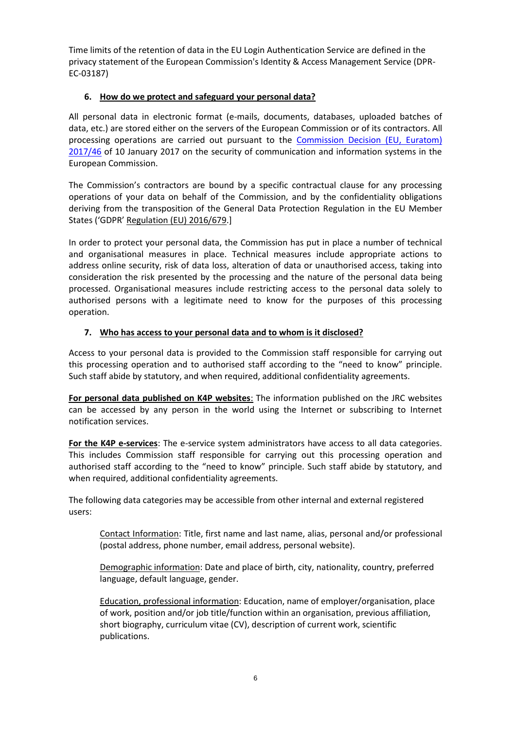Time limits of the retention of data in the EU Login Authentication Service are defined in the privacy statement of the European Commission's Identity & Access Management Service (DPR-EC-03187)

# **6. How do we protect and safeguard your personal data?**

All personal data in electronic format (e-mails, documents, databases, uploaded batches of data, etc.) are stored either on the servers of the European Commission or of its contractors. All processing operations are carried out pursuant to the [Commission Decision \(EU, Euratom\)](https://eur-lex.europa.eu/legal-content/EN/TXT/?qid=1548093747090&uri=CELEX:32017D0046)  [2017/46](https://eur-lex.europa.eu/legal-content/EN/TXT/?qid=1548093747090&uri=CELEX:32017D0046) of 10 January 2017 on the security of communication and information systems in the European Commission.

The Commission's contractors are bound by a specific contractual clause for any processing operations of your data on behalf of the Commission, and by the confidentiality obligations deriving from the transposition of the General Data Protection Regulation in the EU Member States ('GDPR' [Regulation \(EU\) 2016/679.](https://eur-lex.europa.eu/legal-content/EN/TXT/?uri=celex%3A32016R0679)]

In order to protect your personal data, the Commission has put in place a number of technical and organisational measures in place. Technical measures include appropriate actions to address online security, risk of data loss, alteration of data or unauthorised access, taking into consideration the risk presented by the processing and the nature of the personal data being processed. Organisational measures include restricting access to the personal data solely to authorised persons with a legitimate need to know for the purposes of this processing operation.

# **7. Who has access to your personal data and to whom is it disclosed?**

Access to your personal data is provided to the Commission staff responsible for carrying out this processing operation and to authorised staff according to the "need to know" principle. Such staff abide by statutory, and when required, additional confidentiality agreements.

**For personal data published on K4P websites**: The information published on the JRC websites can be accessed by any person in the world using the Internet or subscribing to Internet notification services.

**For the K4P e-services**: The e-service system administrators have access to all data categories. This includes Commission staff responsible for carrying out this processing operation and authorised staff according to the "need to know" principle. Such staff abide by statutory, and when required, additional confidentiality agreements.

The following data categories may be accessible from other internal and external registered users:

Contact Information: Title, first name and last name, alias, personal and/or professional (postal address, phone number, email address, personal website).

Demographic information: Date and place of birth, city, nationality, country, preferred language, default language, gender.

Education, professional information: Education, name of employer/organisation, place of work, position and/or job title/function within an organisation, previous affiliation, short biography, curriculum vitae (CV), description of current work, scientific publications.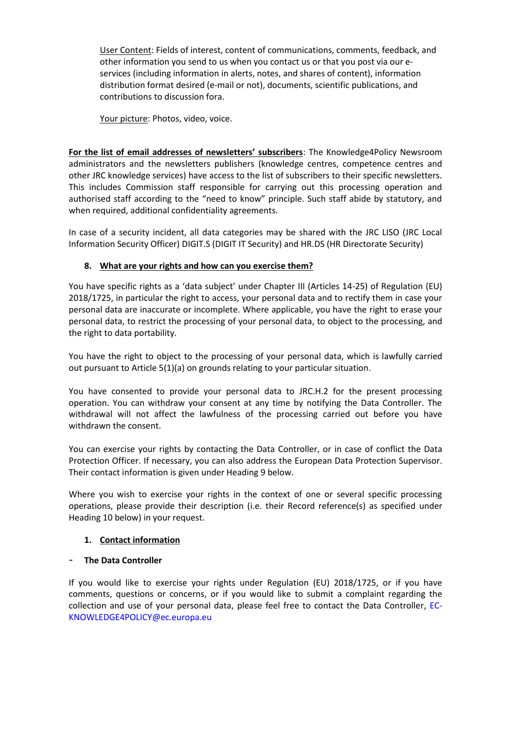User Content: Fields of interest, content of communications, comments, feedback, and other information you send to us when you contact us or that you post via our eservices (including information in alerts, notes, and shares of content), information distribution format desired (e-mail or not), documents, scientific publications, and contributions to discussion fora.

Your picture: Photos, video, voice.

**For the list of email addresses of newsletters' subscribers**: The Knowledge4Policy Newsroom administrators and the newsletters publishers (knowledge centres, competence centres and other JRC knowledge services) have access to the list of subscribers to their specific newsletters. This includes Commission staff responsible for carrying out this processing operation and authorised staff according to the "need to know" principle. Such staff abide by statutory, and when required, additional confidentiality agreements.

In case of a security incident, all data categories may be shared with the JRC LISO (JRC Local Information Security Officer) DIGIT.S (DIGIT IT Security) and HR.DS (HR Directorate Security)

# **8. What are your rights and how can you exercise them?**

You have specific rights as a 'data subject' under Chapter III (Articles 14-25) of Regulation (EU) 2018/1725, in particular the right to access, your personal data and to rectify them in case your personal data are inaccurate or incomplete. Where applicable, you have the right to erase your personal data, to restrict the processing of your personal data, to object to the processing, and the right to data portability.

You have the right to object to the processing of your personal data, which is lawfully carried out pursuant to Article 5(1)(a) on grounds relating to your particular situation.

You have consented to provide your personal data to JRC.H.2 for the present processing operation. You can withdraw your consent at any time by notifying the Data Controller. The withdrawal will not affect the lawfulness of the processing carried out before you have withdrawn the consent.

You can exercise your rights by contacting the Data Controller, or in case of conflict the Data Protection Officer. If necessary, you can also address the European Data Protection Supervisor. Their contact information is given under Heading 9 below.

Where you wish to exercise your rights in the context of one or several specific processing operations, please provide their description (i.e. their Record reference(s) as specified under Heading 10 below) in your request.

# **1. Contact information**

# - **The Data Controller**

If you would like to exercise your rights under Regulation (EU) 2018/1725, or if you have comments, questions or concerns, or if you would like to submit a complaint regarding the collection and use of your personal data, please feel free to contact the Data Controller, EC-KNOWLEDGE4POLICY@ec.europa.eu